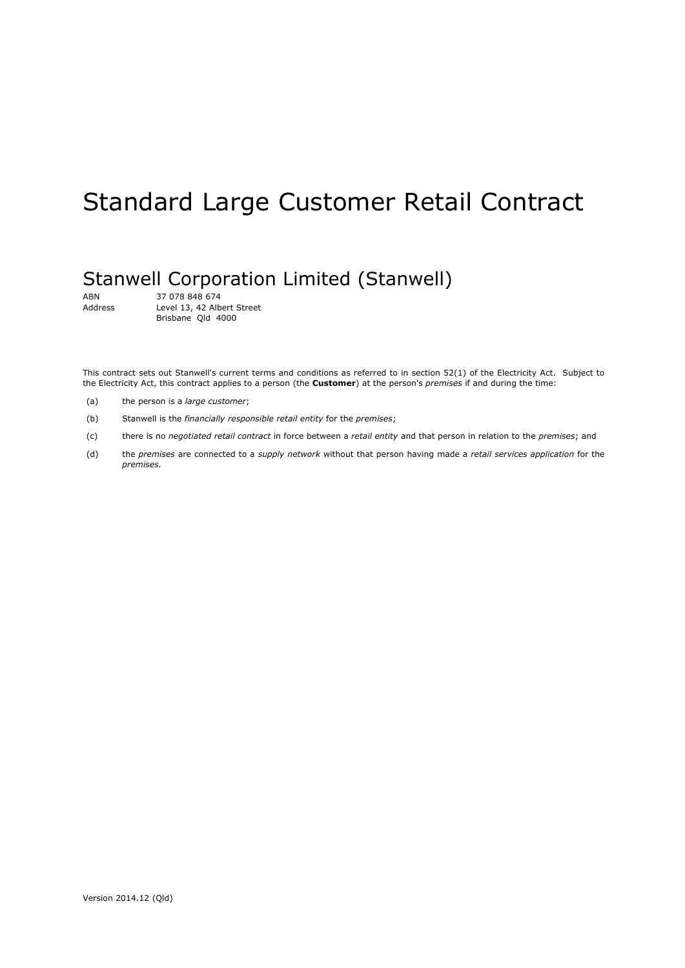# Standard Large Customer Retail Contract

# Stanwell Corporation Limited (Stanwell)

ABN 37 078 848 674<br>Address Level 13, 42 Alb Level 13, 42 Albert Street Brisbane Qld 4000

This contract sets out Stanwell's current terms and conditions as referred to in section 52(1) of the Electricity Act. Subject to the Electricity Act, this contract applies to a person (the **Customer**) at the person's *premises* if and during the time:

- (a) the person is a *large customer*;
- (b) Stanwell is the *financially responsible retail entity* for the *premises*;
- (c) there is no *negotiated retail contract* in force between a *retail entity* and that person in relation to the *premises*; and
- (d) the *premises* are connected to a *supply network* without that person having made a *retail services application* for the *premises.*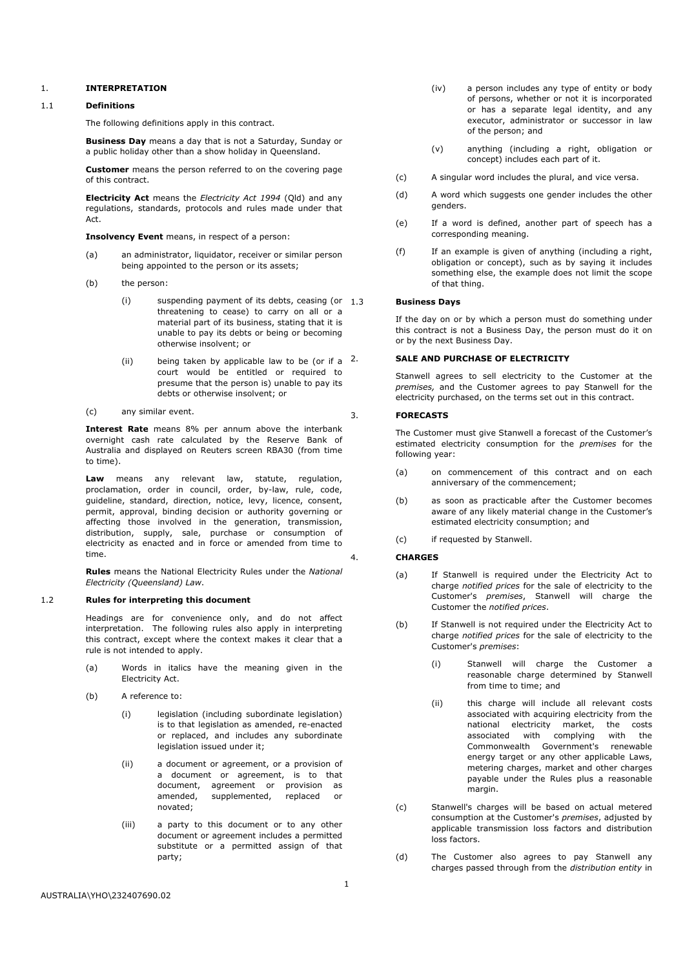# 1. **INTERPRETATION**

#### 1.1 **Definitions**

The following definitions apply in this contract.

**Business Day** means a day that is not a Saturday, Sunday or a public holiday other than a show holiday in Queensland.

**Customer** means the person referred to on the covering page of this contract.

**Electricity Act** means the *Electricity Act 1994* (Qld) and any regulations, standards, protocols and rules made under that Act.

**Insolvency Event** means, in respect of a person:

- (a) an administrator, liquidator, receiver or similar person being appointed to the person or its assets;
- (b) the person:
	- $(i)$  suspending payment of its debts, ceasing (or  $1.3$ ) threatening to cease) to carry on all or a material part of its business, stating that it is unable to pay its debts or being or becoming otherwise insolvent; or
	- (ii) being taken by applicable law to be (or if a  $2$ . court would be entitled or required to presume that the person is) unable to pay its debts or otherwise insolvent; or
- (c) any similar event.

**Interest Rate** means 8% per annum above the interbank overnight cash rate calculated by the Reserve Bank of Australia and displayed on Reuters screen RBA30 (from time to time).

**Law** means any relevant law, statute, regulation, proclamation, order in council, order, by-law, rule, code, guideline, standard, direction, notice, levy, licence, consent, permit, approval, binding decision or authority governing or affecting those involved in the generation, transmission, distribution, supply, sale, purchase or consumption of electricity as enacted and in force or amended from time to time.

**Rules** means the National Electricity Rules under the *National Electricity (Queensland) Law*.

## 1.2 **Rules for interpreting this document**

Headings are for convenience only, and do not affect interpretation. The following rules also apply in interpreting this contract, except where the context makes it clear that a rule is not intended to apply.

- (a) Words in italics have the meaning given in the Electricity Act.
- (b) A reference to:
	- (i) legislation (including subordinate legislation) is to that legislation as amended, re-enacted or replaced, and includes any subordinate legislation issued under it;
	- (ii) a document or agreement, or a provision of a document or agreement, is to that document, agreement or provision as amended, supplemented, replaced or novated;
	- (iii) a party to this document or to any other document or agreement includes a permitted substitute or a permitted assign of that party;
- (iv) a person includes any type of entity or body of persons, whether or not it is incorporated or has a separate legal identity, and any executor, administrator or successor in law of the person; and
- (v) anything (including a right, obligation or concept) includes each part of it.
- (c) A singular word includes the plural, and vice versa.
- (d) A word which suggests one gender includes the other genders.
- (e) If a word is defined, another part of speech has a corresponding meaning.
- (f) If an example is given of anything (including a right, obligation or concept), such as by saying it includes something else, the example does not limit the scope of that thing.

#### 1.3 **Business Days**

If the day on or by which a person must do something under this contract is not a Business Day, the person must do it on or by the next Business Day.

## 2. **SALE AND PURCHASE OF ELECTRICITY**

Stanwell agrees to sell electricity to the Customer at the *premises,* and the Customer agrees to pay Stanwell for the electricity purchased, on the terms set out in this contract.

#### 3. **FORECASTS**

The Customer must give Stanwell a forecast of the Customer's estimated electricity consumption for the *premises* for the following year:

- (a) on commencement of this contract and on each anniversary of the commencement;
- (b) as soon as practicable after the Customer becomes aware of any likely material change in the Customer's estimated electricity consumption; and
- (c) if requested by Stanwell.

#### 4. **CHARGES**

- (a) If Stanwell is required under the Electricity Act to charge *notified prices* for the sale of electricity to the Customer's *premises*, Stanwell will charge the Customer the *notified prices*.
- (b) If Stanwell is not required under the Electricity Act to charge *notified prices* for the sale of electricity to the Customer's *premises*:
	- (i) Stanwell will charge the Customer a reasonable charge determined by Stanwell from time to time; and
	- (ii) this charge will include all relevant costs associated with acquiring electricity from the national electricity market, the costs associated with complying with the Commonwealth Government's renewable energy target or any other applicable Laws, metering charges, market and other charges payable under the Rules plus a reasonable margin.
- (c) Stanwell's charges will be based on actual metered consumption at the Customer's *premises*, adjusted by applicable transmission loss factors and distribution loss factors.
- (d) The Customer also agrees to pay Stanwell any charges passed through from the *distribution entity* in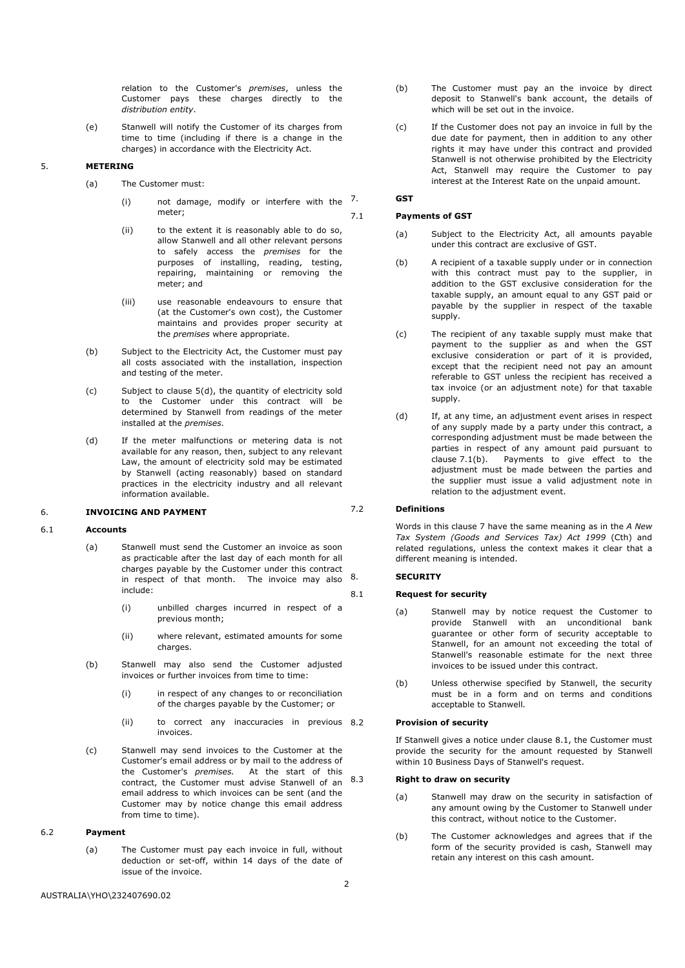relation to the Customer's *premises*, unless the Customer pays these charges directly to the *distribution entity*.

(e) Stanwell will notify the Customer of its charges from time to time (including if there is a change in the charges) in accordance with the Electricity Act.

# 5. **METERING**

- (a) The Customer must:
	- (i) not damage, modify or interfere with the  $7$ . meter;
	- (ii) to the extent it is reasonably able to do so, allow Stanwell and all other relevant persons to safely access the *premises* for the purposes of installing, reading, testing, repairing, maintaining or removing the meter; and
	- (iii) use reasonable endeavours to ensure that (at the Customer's own cost), the Customer maintains and provides proper security at the *premises* where appropriate.
- (b) Subject to the Electricity Act, the Customer must pay all costs associated with the installation, inspection and testing of the meter.
- (c) Subject to clause 5(d), the quantity of electricity sold to the Customer under this contract will be determined by Stanwell from readings of the meter installed at the *premises*.
- (d) If the meter malfunctions or metering data is not available for any reason, then, subject to any relevant Law, the amount of electricity sold may be estimated by Stanwell (acting reasonably) based on standard practices in the electricity industry and all relevant information available.

# 6. **INVOICING AND PAYMENT**

#### 6.1 **Accounts**

- (a) Stanwell must send the Customer an invoice as soon as practicable after the last day of each month for all charges payable by the Customer under this contract in respect of that month. The invoice may also include:
	- (i) unbilled charges incurred in respect of a previous month;
	- (ii) where relevant, estimated amounts for some charges.
- (b) Stanwell may also send the Customer adjusted invoices or further invoices from time to time:
	- (i) in respect of any changes to or reconciliation of the charges payable by the Customer; or
	- (ii) to correct any inaccuracies in previous 8.2 invoices.
- (c) Stanwell may send invoices to the Customer at the Customer's email address or by mail to the address of the Customer's *premises.* At the start of this contract, the Customer must advise Stanwell of an  $8.3$ email address to which invoices can be sent (and the Customer may by notice change this email address from time to time).

# 6.2 **Payment**

(a) The Customer must pay each invoice in full, without deduction or set-off, within 14 days of the date of issue of the invoice.

- (b) The Customer must pay an the invoice by direct deposit to Stanwell's bank account, the details of which will be set out in the invoice.
- (c) If the Customer does not pay an invoice in full by the due date for payment, then in addition to any other rights it may have under this contract and provided Stanwell is not otherwise prohibited by the Electricity Act, Stanwell may require the Customer to pay interest at the Interest Rate on the unpaid amount.

# 7. **GST**

#### 7.1 **Payments of GST**

- (a) Subject to the Electricity Act, all amounts payable under this contract are exclusive of GST.
- (b) A recipient of a taxable supply under or in connection with this contract must pay to the supplier, in addition to the GST exclusive consideration for the taxable supply, an amount equal to any GST paid or payable by the supplier in respect of the taxable supply.
- (c) The recipient of any taxable supply must make that payment to the supplier as and when the GST exclusive consideration or part of it is provided, except that the recipient need not pay an amount referable to GST unless the recipient has received a tax invoice (or an adjustment note) for that taxable supply.
- (d) If, at any time, an adjustment event arises in respect of any supply made by a party under this contract, a corresponding adjustment must be made between the parties in respect of any amount paid pursuant to clause 7.1(b). Payments to give effect to the Payments to give effect to the adjustment must be made between the parties and the supplier must issue a valid adjustment note in relation to the adjustment event.

# 7.2 **Definitions**

Words in this clause 7 have the same meaning as in the *A New Tax System (Goods and Services Tax) Act 1999* (Cth) and related regulations, unless the context makes it clear that a different meaning is intended.

# 8. **SECURITY**

#### 8.1 **Request for security**

- (a) Stanwell may by notice request the Customer to provide Stanwell with an unconditional bank guarantee or other form of security acceptable to Stanwell, for an amount not exceeding the total of Stanwell's reasonable estimate for the next three invoices to be issued under this contract.
- (b) Unless otherwise specified by Stanwell, the security must be in a form and on terms and conditions acceptable to Stanwell.

# 8.2 **Provision of security**

If Stanwell gives a notice under clause 8.1, the Customer must provide the security for the amount requested by Stanwell within 10 Business Days of Stanwell's request.

#### 8.3 **Right to draw on security**

- (a) Stanwell may draw on the security in satisfaction of any amount owing by the Customer to Stanwell under this contract, without notice to the Customer.
- (b) The Customer acknowledges and agrees that if the form of the security provided is cash, Stanwell may retain any interest on this cash amount.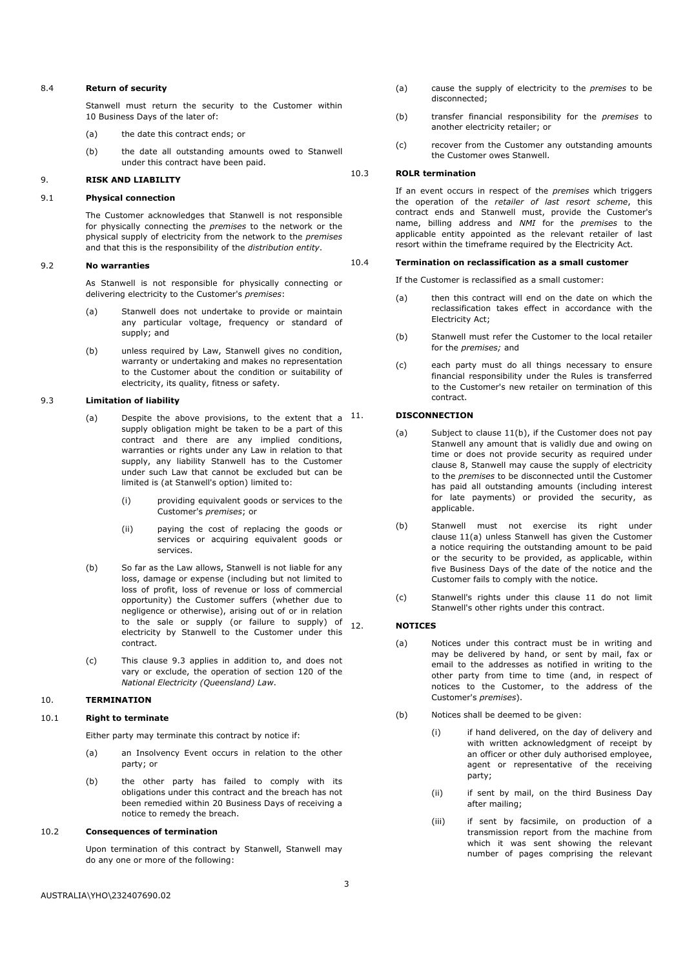#### 8.4 **Return of security**

Stanwell must return the security to the Customer within 10 Business Days of the later of:

- (a) the date this contract ends; or
- (b) the date all outstanding amounts owed to Stanwell under this contract have been paid.

#### 9. **RISK AND LIABILITY**

# 9.1 **Physical connection**

The Customer acknowledges that Stanwell is not responsible for physically connecting the *premises* to the network or the physical supply of electricity from the network to the *premises* and that this is the responsibility of the *distribution entity*.

#### 9.2 **No warranties**

As Stanwell is not responsible for physically connecting or delivering electricity to the Customer's *premises*:

- (a) Stanwell does not undertake to provide or maintain any particular voltage, frequency or standard of supply; and
- (b) unless required by Law, Stanwell gives no condition, warranty or undertaking and makes no representation to the Customer about the condition or suitability of electricity, its quality, fitness or safety.

# 9.3 **Limitation of liability**

- (a) Despite the above provisions, to the extent that a  $11$ . supply obligation might be taken to be a part of this contract and there are any implied conditions, warranties or rights under any Law in relation to that supply, any liability Stanwell has to the Customer under such Law that cannot be excluded but can be limited is (at Stanwell's option) limited to:
	- (i) providing equivalent goods or services to the Customer's *premises*; or
	- (ii) paying the cost of replacing the goods or services or acquiring equivalent goods or services.
- (b) So far as the Law allows, Stanwell is not liable for any loss, damage or expense (including but not limited to loss of profit, loss of revenue or loss of commercial opportunity) the Customer suffers (whether due to negligence or otherwise), arising out of or in relation to the sale or supply (or failure to supply) of  $_{12}$ electricity by Stanwell to the Customer under this contract.
- (c) This clause 9.3 applies in addition to, and does not vary or exclude, the operation of section 120 of the *National Electricity (Queensland) Law*.

# 10. **TERMINATION**

# 10.1 **Right to terminate**

Either party may terminate this contract by notice if:

- (a) an Insolvency Event occurs in relation to the other party; or
- (b) the other party has failed to comply with its obligations under this contract and the breach has not been remedied within 20 Business Days of receiving a notice to remedy the breach.

#### 10.2 **Consequences of termination**

Upon termination of this contract by Stanwell, Stanwell may do any one or more of the following:

- (a) cause the supply of electricity to the *premises* to be disconnected;
- (b) transfer financial responsibility for the *premises* to another electricity retailer; or
- (c) recover from the Customer any outstanding amounts the Customer owes Stanwell.

#### 10.3 **ROLR termination**

If an event occurs in respect of the *premises* which triggers the operation of the *retailer of last resort scheme*, this contract ends and Stanwell must, provide the Customer's name, billing address and *NMI* for the *premises* to the applicable entity appointed as the relevant retailer of last resort within the timeframe required by the Electricity Act.

# 10.4 **Termination on reclassification as a small customer**

If the Customer is reclassified as a small customer:

- (a) then this contract will end on the date on which the reclassification takes effect in accordance with the Electricity Act;
- (b) Stanwell must refer the Customer to the local retailer for the *premises;* and
- (c) each party must do all things necessary to ensure financial responsibility under the Rules is transferred to the Customer's new retailer on termination of this contract.

#### 11. **DISCONNECTION**

- (a) Subject to clause 11(b), if the Customer does not pay Stanwell any amount that is validly due and owing on time or does not provide security as required under clause 8, Stanwell may cause the supply of electricity to the *premises* to be disconnected until the Customer has paid all outstanding amounts (including interest for late payments) or provided the security, as applicable.
- (b) Stanwell must not exercise its right under clause 11(a) unless Stanwell has given the Customer a notice requiring the outstanding amount to be paid or the security to be provided, as applicable, within five Business Days of the date of the notice and the Customer fails to comply with the notice.
- (c) Stanwell's rights under this clause 11 do not limit Stanwell's other rights under this contract.

# 12. **NOTICES**

- (a) Notices under this contract must be in writing and may be delivered by hand, or sent by mail, fax or email to the addresses as notified in writing to the other party from time to time (and, in respect of notices to the Customer, to the address of the Customer's *premises*).
- (b) Notices shall be deemed to be given:
	- (i) if hand delivered, on the day of delivery and with written acknowledgment of receipt by an officer or other duly authorised employee, agent or representative of the receiving party;
	- (ii) if sent by mail, on the third Business Day after mailing;
	- (iii) if sent by facsimile, on production of a transmission report from the machine from which it was sent showing the relevant number of pages comprising the relevant